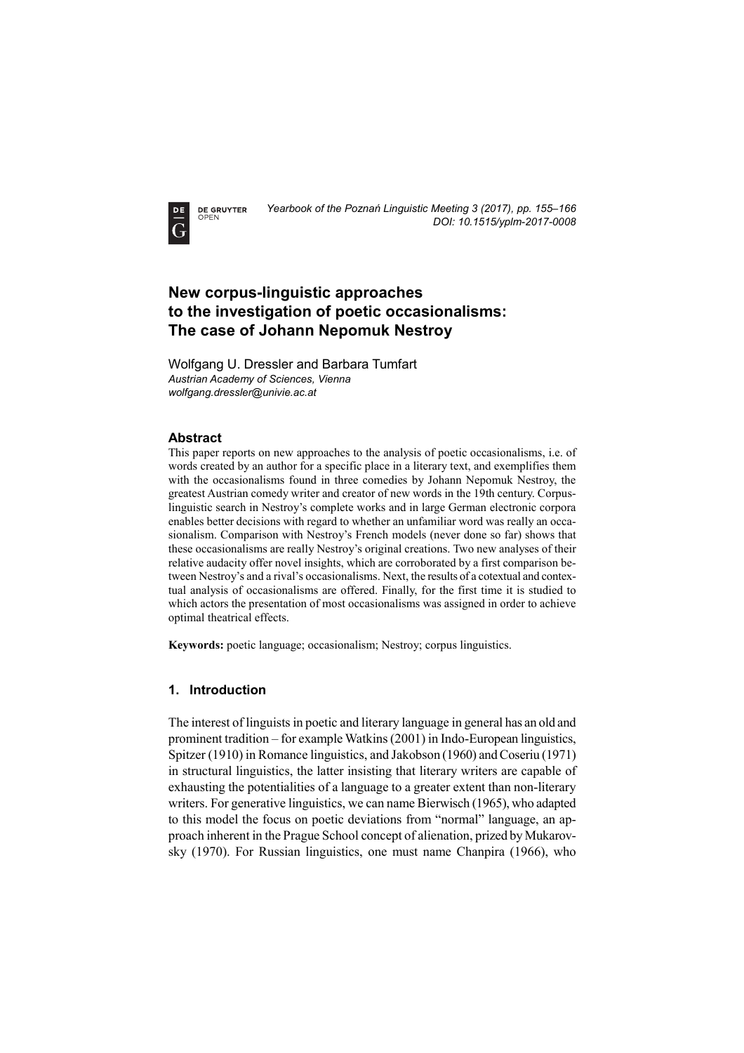**DE GRUYTER** OPEN



# **New corpus-linguistic approaches to the investigation of poetic occasionalisms: The case of Johann Nepomuk Nestroy**

Wolfgang U. Dressler and Barbara Tumfart *Austrian Academy of Sciences, Vienna wolfgang.dressler@univie.ac.at* 

## **Abstract**

This paper reports on new approaches to the analysis of poetic occasionalisms, i.e. of words created by an author for a specific place in a literary text, and exemplifies them with the occasionalisms found in three comedies by Johann Nepomuk Nestroy, the greatest Austrian comedy writer and creator of new words in the 19th century. Corpuslinguistic search in Nestroy's complete works and in large German electronic corpora enables better decisions with regard to whether an unfamiliar word was really an occasionalism. Comparison with Nestroy's French models (never done so far) shows that these occasionalisms are really Nestroy's original creations. Two new analyses of their relative audacity offer novel insights, which are corroborated by a first comparison between Nestroy's and a rival's occasionalisms. Next, the results of a cotextual and contextual analysis of occasionalisms are offered. Finally, for the first time it is studied to which actors the presentation of most occasionalisms was assigned in order to achieve optimal theatrical effects.

**Keywords:** poetic language; occasionalism; Nestroy; corpus linguistics.

#### **1. Introduction**

The interest of linguists in poetic and literary language in general has an old and prominent tradition – for example Watkins (2001) in Indo-European linguistics, Spitzer (1910) in Romance linguistics, and Jakobson (1960) and Coseriu (1971) in structural linguistics, the latter insisting that literary writers are capable of exhausting the potentialities of a language to a greater extent than non-literary writers. For generative linguistics, we can name Bierwisch (1965), who adapted to this model the focus on poetic deviations from "normal" language, an approach inherent in the Prague School concept of alienation, prized by Mukarovsky (1970). For Russian linguistics, one must name Chanpira (1966), who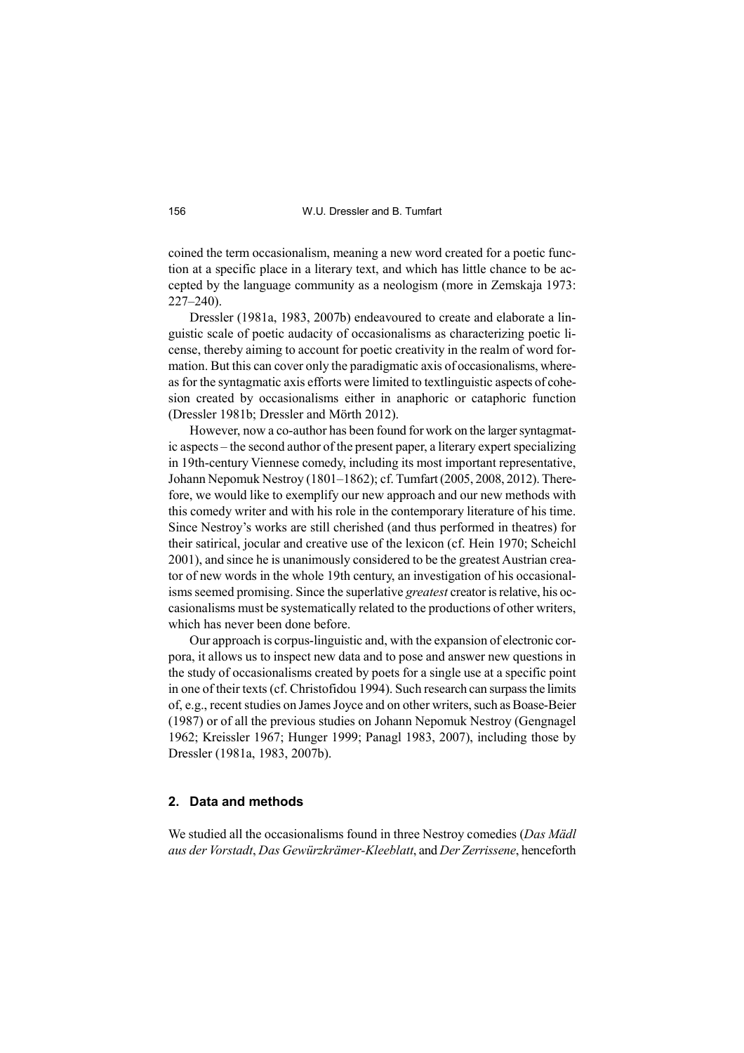coined the term occasionalism, meaning a new word created for a poetic function at a specific place in a literary text, and which has little chance to be accepted by the language community as a neologism (more in Zemskaja 1973: 227–240).

Dressler (1981a, 1983, 2007b) endeavoured to create and elaborate a linguistic scale of poetic audacity of occasionalisms as characterizing poetic license, thereby aiming to account for poetic creativity in the realm of word formation. But this can cover only the paradigmatic axis of occasionalisms, whereas for the syntagmatic axis efforts were limited to textlinguistic aspects of cohesion created by occasionalisms either in anaphoric or cataphoric function (Dressler 1981b; Dressler and Mörth 2012).

However, now a co-author has been found for work on the larger syntagmatic aspects – the second author of the present paper, a literary expert specializing in 19th-century Viennese comedy, including its most important representative, Johann Nepomuk Nestroy (1801–1862); cf. Tumfart (2005, 2008, 2012). Therefore, we would like to exemplify our new approach and our new methods with this comedy writer and with his role in the contemporary literature of his time. Since Nestroy's works are still cherished (and thus performed in theatres) for their satirical, jocular and creative use of the lexicon (cf. Hein 1970; Scheichl 2001), and since he is unanimously considered to be the greatest Austrian creator of new words in the whole 19th century, an investigation of his occasionalisms seemed promising. Since the superlative *greatest* creator is relative, his occasionalisms must be systematically related to the productions of other writers, which has never been done before.

Our approach is corpus-linguistic and, with the expansion of electronic corpora, it allows us to inspect new data and to pose and answer new questions in the study of occasionalisms created by poets for a single use at a specific point in one of their texts (cf. Christofidou 1994). Such research can surpass the limits of, e.g., recent studies on James Joyce and on other writers, such as Boase-Beier (1987) or of all the previous studies on Johann Nepomuk Nestroy (Gengnagel 1962; Kreissler 1967; Hunger 1999; Panagl 1983, 2007), including those by Dressler (1981a, 1983, 2007b).

#### **2. Data and methods**

We studied all the occasionalisms found in three Nestroy comedies (*Das Mädl aus der Vorstadt*, *Das Gewürzkrämer-Kleeblatt*, and *Der Zerrissene*, henceforth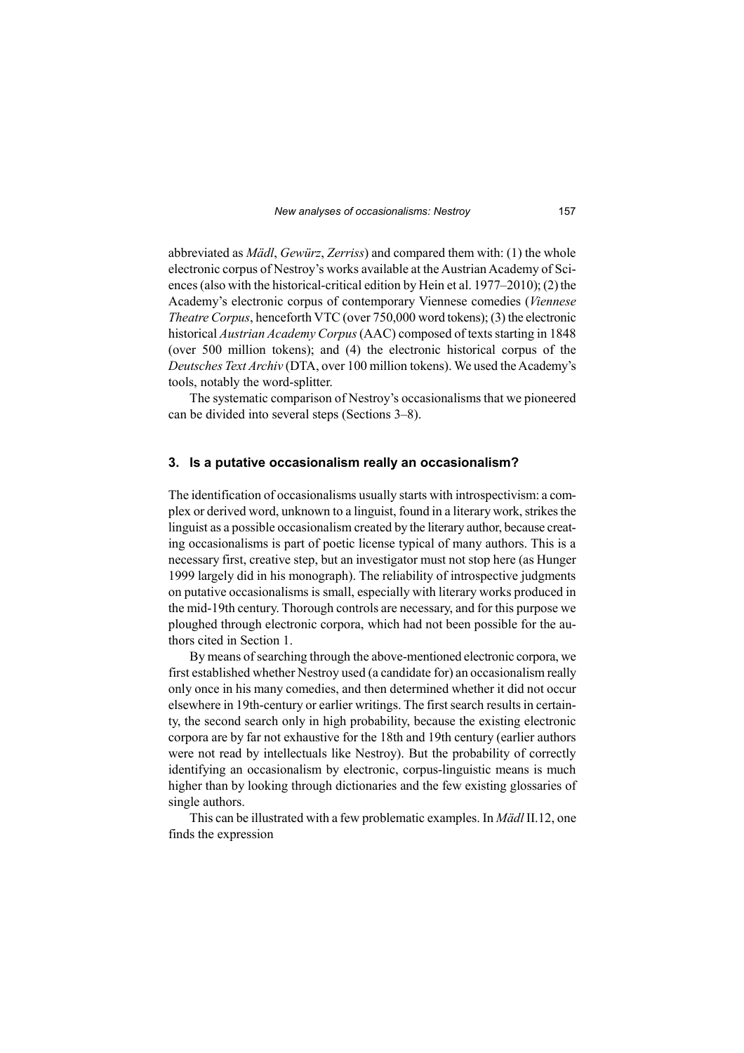abbreviated as *Mädl*, *Gewürz*, *Zerriss*) and compared them with: (1) the whole electronic corpus of Nestroy's works available at the Austrian Academy of Sciences (also with the historical-critical edition by Hein et al. 1977–2010); (2) the Academy's electronic corpus of contemporary Viennese comedies (*Viennese Theatre Corpus*, henceforth VTC (over 750,000 word tokens); (3) the electronic historical *Austrian Academy Corpus* (AAC) composed of texts starting in 1848 (over 500 million tokens); and (4) the electronic historical corpus of the *Deutsches Text Archiv* (DTA, over 100 million tokens). We used the Academy's tools, notably the word-splitter.

The systematic comparison of Nestroy's occasionalisms that we pioneered can be divided into several steps (Sections 3–8).

#### **3. Is a putative occasionalism really an occasionalism?**

The identification of occasionalisms usually starts with introspectivism: a complex or derived word, unknown to a linguist, found in a literary work, strikes the linguist as a possible occasionalism created by the literary author, because creating occasionalisms is part of poetic license typical of many authors. This is a necessary first, creative step, but an investigator must not stop here (as Hunger 1999 largely did in his monograph). The reliability of introspective judgments on putative occasionalisms is small, especially with literary works produced in the mid-19th century. Thorough controls are necessary, and for this purpose we ploughed through electronic corpora, which had not been possible for the authors cited in Section 1.

By means of searching through the above-mentioned electronic corpora, we first established whether Nestroy used (a candidate for) an occasionalism really only once in his many comedies, and then determined whether it did not occur elsewhere in 19th-century or earlier writings. The first search results in certainty, the second search only in high probability, because the existing electronic corpora are by far not exhaustive for the 18th and 19th century (earlier authors were not read by intellectuals like Nestroy). But the probability of correctly identifying an occasionalism by electronic, corpus-linguistic means is much higher than by looking through dictionaries and the few existing glossaries of single authors.

This can be illustrated with a few problematic examples. In *Mädl* II.12, one finds the expression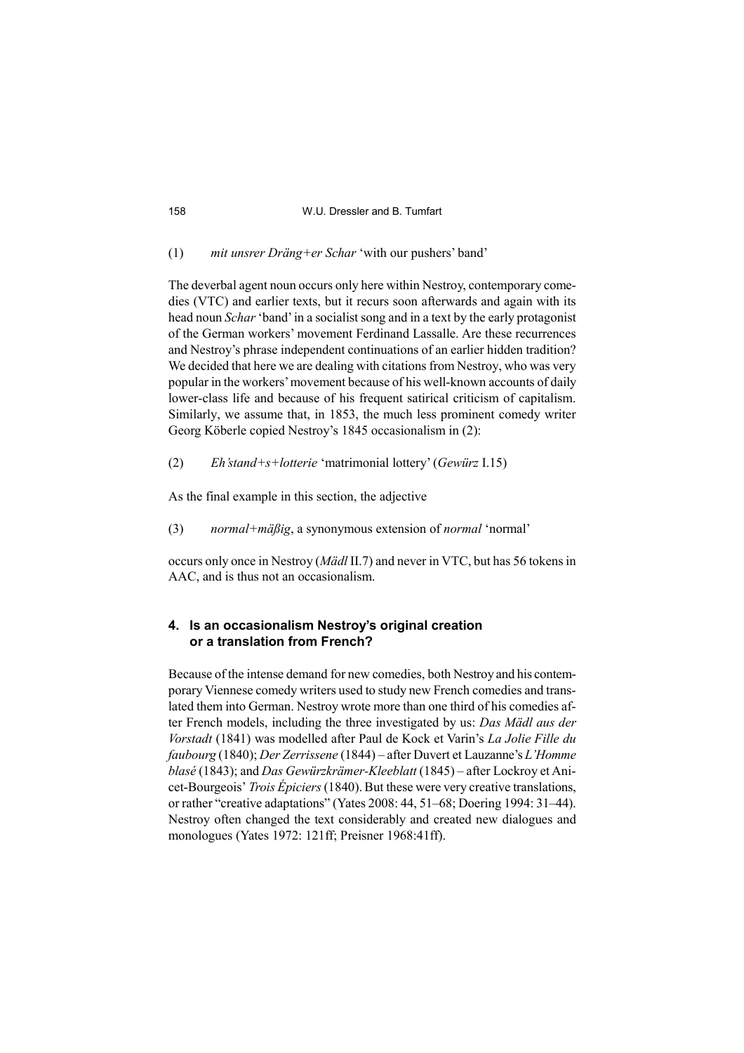#### (1) *mit unsrer Dräng+er Schar* 'with our pushers' band'

The deverbal agent noun occurs only here within Nestroy, contemporary comedies (VTC) and earlier texts, but it recurs soon afterwards and again with its head noun *Schar* 'band' in a socialist song and in a text by the early protagonist of the German workers' movement Ferdinand Lassalle. Are these recurrences and Nestroy's phrase independent continuations of an earlier hidden tradition? We decided that here we are dealing with citations from Nestroy, who was very popular in the workers' movement because of his well-known accounts of daily lower-class life and because of his frequent satirical criticism of capitalism. Similarly, we assume that, in 1853, the much less prominent comedy writer Georg Köberle copied Nestroy's 1845 occasionalism in (2):

(2) *Eh'stand+s+lotterie* 'matrimonial lottery' (*Gewürz* I.15)

As the final example in this section, the adjective

(3) *normal+mäßig*, a synonymous extension of *normal* 'normal'

occurs only once in Nestroy (*Mädl* II.7) and never in VTC, but has 56 tokens in AAC, and is thus not an occasionalism.

### **4. Is an occasionalism Nestroy's original creation or a translation from French?**

Because of the intense demand for new comedies, both Nestroy and his contemporary Viennese comedy writers used to study new French comedies and translated them into German. Nestroy wrote more than one third of his comedies after French models, including the three investigated by us: *Das Mädl aus der Vorstadt* (1841) was modelled after Paul de Kock et Varin's *La Jolie Fille du faubourg* (1840); *Der Zerrissene* (1844) – after Duvert et Lauzanne's *L'Homme blasé* (1843); and *Das Gewürzkrämer-Kleeblatt* (1845) – after Lockroy et Anicet-Bourgeois' *Trois Épiciers* (1840). But these were very creative translations, or rather "creative adaptations" (Yates 2008: 44, 51–68; Doering 1994: 31–44). Nestroy often changed the text considerably and created new dialogues and monologues (Yates 1972: 121ff; Preisner 1968:41ff).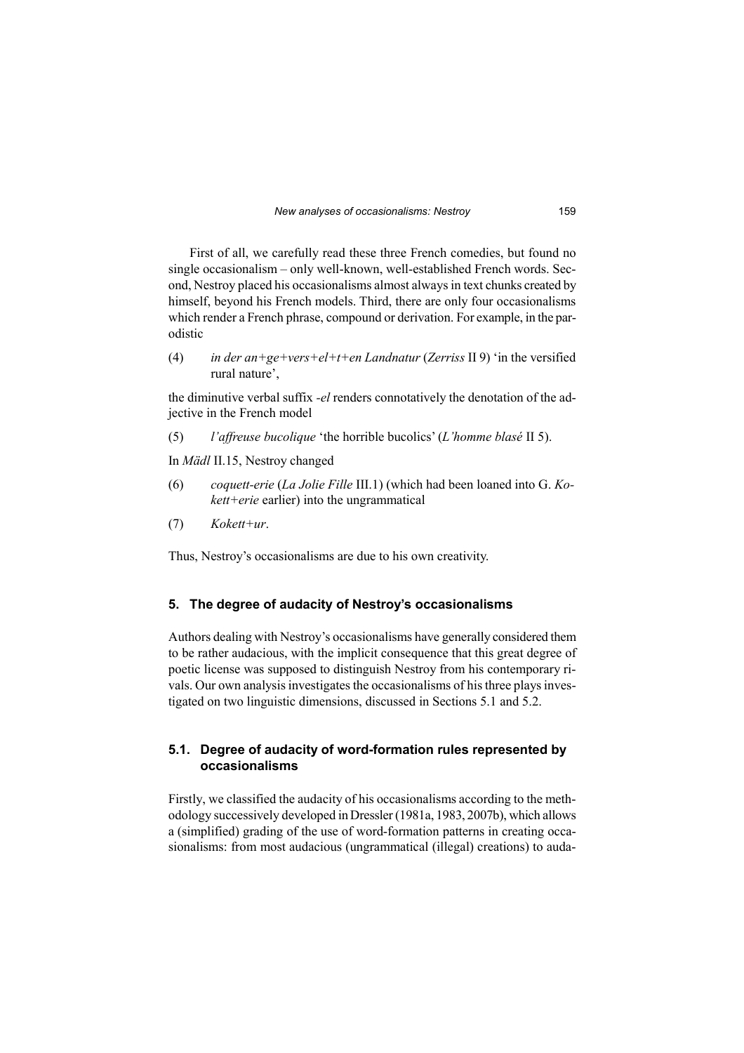First of all, we carefully read these three French comedies, but found no single occasionalism – only well-known, well-established French words. Second, Nestroy placed his occasionalisms almost always in text chunks created by himself, beyond his French models. Third, there are only four occasionalisms which render a French phrase, compound or derivation. For example, in the parodistic

(4) *in der an+ge+vers+el+t+en Landnatur* (*Zerriss* II 9) 'in the versified rural nature',

the diminutive verbal suffix *-el* renders connotatively the denotation of the adjective in the French model

(5) *l'affreuse bucolique* 'the horrible bucolics' (*L'homme blasé* II 5).

In *Mädl* II.15, Nestroy changed

- (6) *coquett-erie* (*La Jolie Fille* III.1) (which had been loaned into G. *Kokett+erie* earlier) into the ungrammatical
- (7) *Kokett+ur*.

Thus, Nestroy's occasionalisms are due to his own creativity.

#### **5. The degree of audacity of Nestroy's occasionalisms**

Authors dealing with Nestroy's occasionalisms have generally considered them to be rather audacious, with the implicit consequence that this great degree of poetic license was supposed to distinguish Nestroy from his contemporary rivals. Our own analysis investigates the occasionalisms of his three plays investigated on two linguistic dimensions, discussed in Sections 5.1 and 5.2.

## **5.1. Degree of audacity of word-formation rules represented by occasionalisms**

Firstly, we classified the audacity of his occasionalisms according to the methodology successively developed in Dressler (1981a, 1983, 2007b), which allows a (simplified) grading of the use of word-formation patterns in creating occasionalisms: from most audacious (ungrammatical (illegal) creations) to auda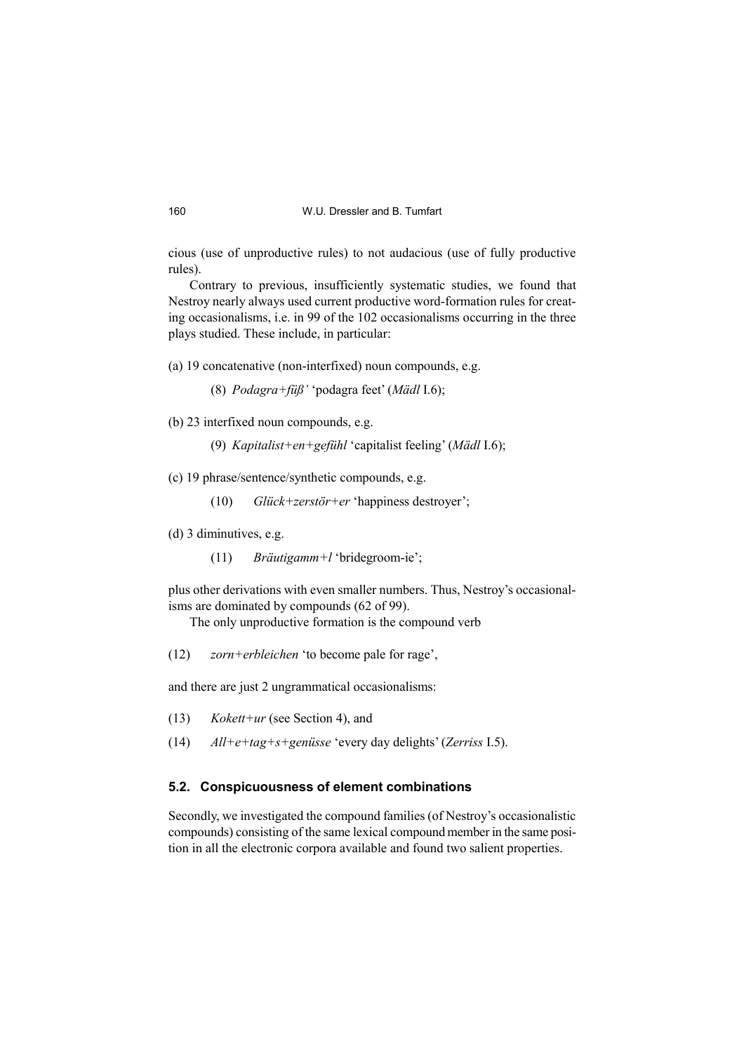cious (use of unproductive rules) to not audacious (use of fully productive rules).

Contrary to previous, insufficiently systematic studies, we found that Nestroy nearly always used current productive word-formation rules for creating occasionalisms, i.e. in 99 of the 102 occasionalisms occurring in the three plays studied. These include, in particular:

(a) 19 concatenative (non-interfixed) noun compounds, e.g.

(8) *Podagra+füß'* 'podagra feet' (*Mädl* I.6);

(b) 23 interfixed noun compounds, e.g.

(9) *Kapitalist+en+gefühl* 'capitalist feeling' (*Mädl* I.6);

(c) 19 phrase/sentence/synthetic compounds, e.g.

(10) *Glück+zerstör+er* 'happiness destroyer';

(d) 3 diminutives, e.g.

(11) *Bräutigamm+l* 'bridegroom-ie';

plus other derivations with even smaller numbers. Thus, Nestroy's occasionalisms are dominated by compounds (62 of 99).

The only unproductive formation is the compound verb

(12) *zorn+erbleichen* 'to become pale for rage',

and there are just 2 ungrammatical occasionalisms:

- (13) *Kokett+ur* (see Section 4), and
- (14) *All+e+tag+s+genüsse* 'every day delights' (*Zerriss* I.5).

## **5.2. Conspicuousness of element combinations**

Secondly, we investigated the compound families (of Nestroy's occasionalistic compounds) consisting of the same lexical compound member in the same position in all the electronic corpora available and found two salient properties.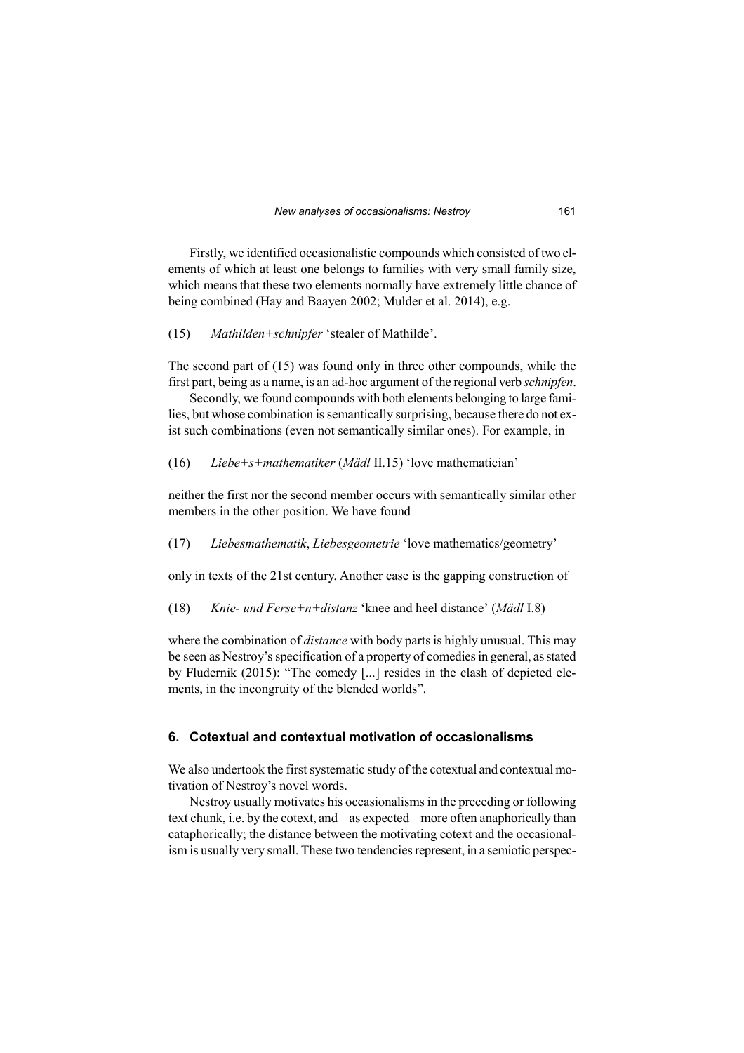Firstly, we identified occasionalistic compounds which consisted of two elements of which at least one belongs to families with very small family size, which means that these two elements normally have extremely little chance of being combined (Hay and Baayen 2002; Mulder et al. 2014), e.g.

(15) *Mathilden+schnipfer* 'stealer of Mathilde'.

The second part of (15) was found only in three other compounds, while the first part, being as a name, is an ad-hoc argument of the regional verb *schnipfen*.

Secondly, we found compounds with both elements belonging to large families, but whose combination is semantically surprising, because there do not exist such combinations (even not semantically similar ones). For example, in

(16) *Liebe+s+mathematiker* (*Mädl* II.15) 'love mathematician'

neither the first nor the second member occurs with semantically similar other members in the other position. We have found

(17) *Liebesmathematik*, *Liebesgeometrie* 'love mathematics/geometry'

only in texts of the 21st century. Another case is the gapping construction of

(18) *Knie- und Ferse+n+distanz* 'knee and heel distance' (*Mädl* I.8)

where the combination of *distance* with body parts is highly unusual. This may be seen as Nestroy's specification of a property of comedies in general, as stated by Fludernik (2015): "The comedy [...] resides in the clash of depicted elements, in the incongruity of the blended worlds".

## **6. Cotextual and contextual motivation of occasionalisms**

We also undertook the first systematic study of the cotextual and contextual motivation of Nestroy's novel words.

Nestroy usually motivates his occasionalisms in the preceding or following text chunk, i.e. by the cotext, and – as expected – more often anaphorically than cataphorically; the distance between the motivating cotext and the occasionalism is usually very small. These two tendencies represent, in a semiotic perspec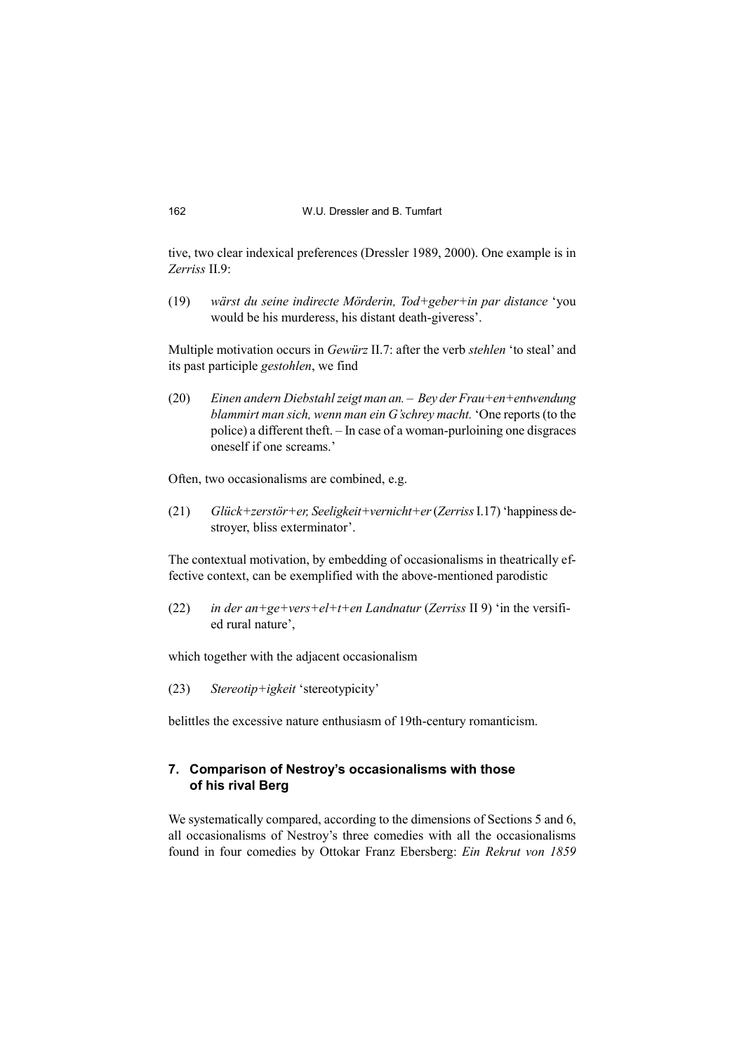tive, two clear indexical preferences (Dressler 1989, 2000). One example is in *Zerriss* II.9:

(19) *wärst du seine indirecte Mörderin, Tod+geber+in par distance* 'you would be his murderess, his distant death-giveress'.

Multiple motivation occurs in *Gewürz* II.7: after the verb *stehlen* 'to steal' and its past participle *gestohlen*, we find

(20) *Einen andern Diebstahl zeigt man an. – Bey der Frau+en+entwendung blammirt man sich, wenn man ein G'schrey macht.* 'One reports (to the police) a different theft. – In case of a woman-purloining one disgraces oneself if one screams.'

Often, two occasionalisms are combined, e.g.

(21) *Glück+zerstör+er, Seeligkeit+vernicht+er* (*Zerriss* I.17) 'happiness destroyer, bliss exterminator'.

The contextual motivation, by embedding of occasionalisms in theatrically effective context, can be exemplified with the above-mentioned parodistic

(22) *in der an+ge+vers+el+t+en Landnatur* (*Zerriss* II 9) 'in the versified rural nature',

which together with the adjacent occasionalism

(23) *Stereotip+igkeit* 'stereotypicity'

belittles the excessive nature enthusiasm of 19th-century romanticism.

### **7. Comparison of Nestroy's occasionalisms with those of his rival Berg**

We systematically compared, according to the dimensions of Sections 5 and 6, all occasionalisms of Nestroy's three comedies with all the occasionalisms found in four comedies by Ottokar Franz Ebersberg: *Ein Rekrut von 1859*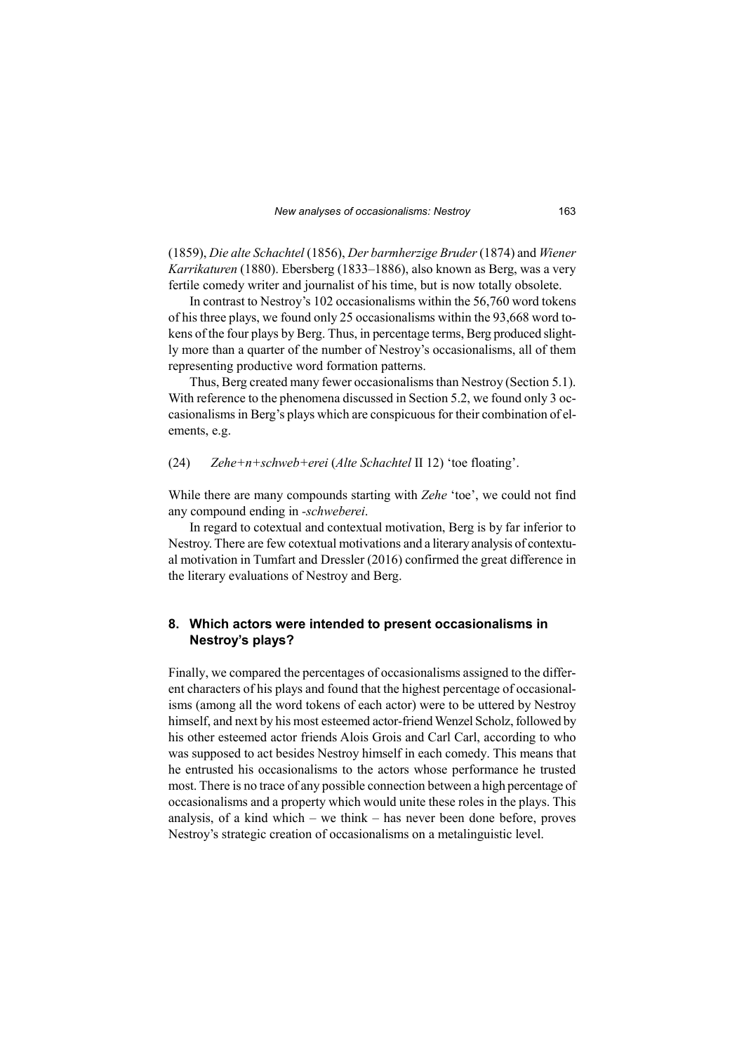(1859), *Die alte Schachtel* (1856), *Der barmherzige Bruder* (1874) and *Wiener Karrikaturen* (1880). Ebersberg (1833–1886), also known as Berg, was a very fertile comedy writer and journalist of his time, but is now totally obsolete.

In contrast to Nestroy's 102 occasionalisms within the 56,760 word tokens of his three plays, we found only 25 occasionalisms within the 93,668 word tokens of the four plays by Berg. Thus, in percentage terms, Berg produced slightly more than a quarter of the number of Nestroy's occasionalisms, all of them representing productive word formation patterns.

Thus, Berg created many fewer occasionalisms than Nestroy (Section 5.1). With reference to the phenomena discussed in Section 5.2, we found only 3 occasionalisms in Berg's plays which are conspicuous for their combination of elements, e.g.

(24) *Zehe+n+schweb+erei* (*Alte Schachtel* II 12) 'toe floating'.

While there are many compounds starting with *Zehe* 'toe', we could not find any compound ending in *-schweberei*.

In regard to cotextual and contextual motivation, Berg is by far inferior to Nestroy. There are few cotextual motivations and a literary analysis of contextual motivation in Tumfart and Dressler (2016) confirmed the great difference in the literary evaluations of Nestroy and Berg.

#### **8. Which actors were intended to present occasionalisms in Nestroy's plays?**

Finally, we compared the percentages of occasionalisms assigned to the different characters of his plays and found that the highest percentage of occasionalisms (among all the word tokens of each actor) were to be uttered by Nestroy himself, and next by his most esteemed actor-friend Wenzel Scholz, followed by his other esteemed actor friends Alois Grois and Carl Carl, according to who was supposed to act besides Nestroy himself in each comedy. This means that he entrusted his occasionalisms to the actors whose performance he trusted most. There is no trace of any possible connection between a high percentage of occasionalisms and a property which would unite these roles in the plays. This analysis, of a kind which – we think – has never been done before, proves Nestroy's strategic creation of occasionalisms on a metalinguistic level.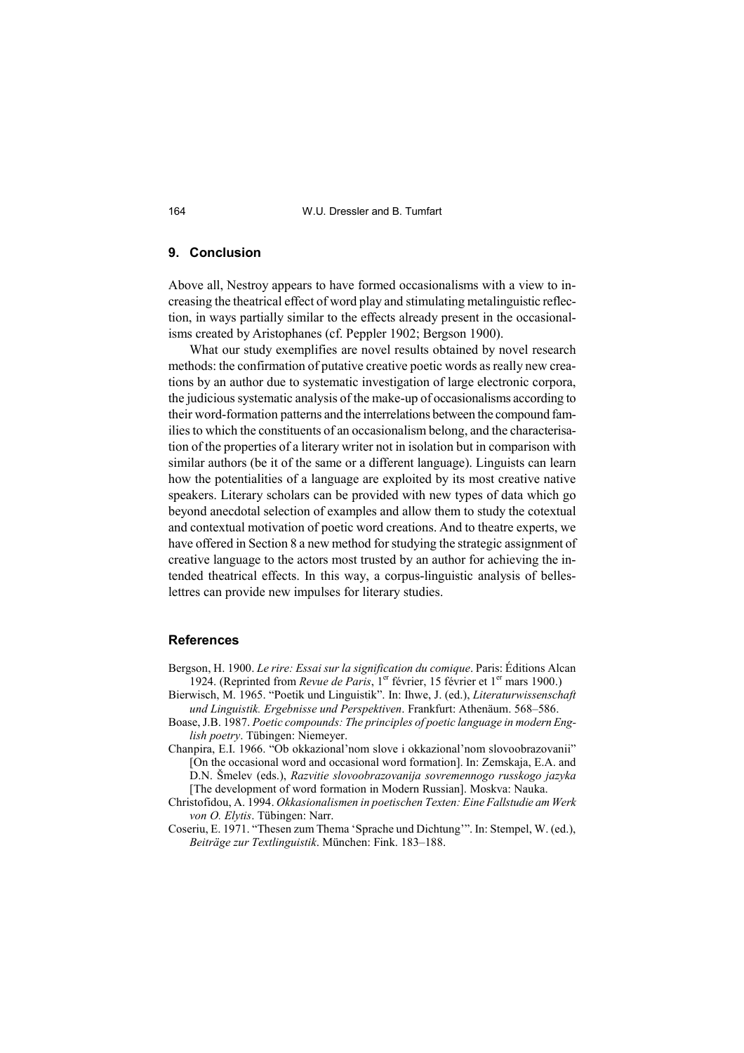#### **9. Conclusion**

Above all, Nestroy appears to have formed occasionalisms with a view to increasing the theatrical effect of word play and stimulating metalinguistic reflection, in ways partially similar to the effects already present in the occasionalisms created by Aristophanes (cf. Peppler 1902; Bergson 1900).

What our study exemplifies are novel results obtained by novel research methods: the confirmation of putative creative poetic words as really new creations by an author due to systematic investigation of large electronic corpora, the judicious systematic analysis of the make-up of occasionalisms according to their word-formation patterns and the interrelations between the compound families to which the constituents of an occasionalism belong, and the characterisation of the properties of a literary writer not in isolation but in comparison with similar authors (be it of the same or a different language). Linguists can learn how the potentialities of a language are exploited by its most creative native speakers. Literary scholars can be provided with new types of data which go beyond anecdotal selection of examples and allow them to study the cotextual and contextual motivation of poetic word creations. And to theatre experts, we have offered in Section 8 a new method for studying the strategic assignment of creative language to the actors most trusted by an author for achieving the intended theatrical effects. In this way, a corpus-linguistic analysis of belleslettres can provide new impulses for literary studies.

#### **References**

- Bergson, H. 1900. *Le rire: Essai sur la signification du comique*. Paris: Éditions Alcan 1924. (Reprinted from *Revue de Paris*, 1<sup>er</sup> février, 15 février et 1<sup>er</sup> mars 1900.)
- Bierwisch, M. 1965. "Poetik und Linguistik". In: Ihwe, J. (ed.), *Literaturwissenschaft und Linguistik. Ergebnisse und Perspektiven*. Frankfurt: Athenäum. 568–586.
- Boase, J.B. 1987. *Poetic compounds: The principles of poetic language in modern English poetry*. Tübingen: Niemeyer.
- Chanpira, E.I. 1966. "Ob okkazional'nom slove i okkazional'nom slovoobrazovanii" [On the occasional word and occasional word formation]. In: Zemskaja, E.A. and D.N. Šmelev (eds.), *Razvitie slovoobrazovanija sovremennogo russkogo jazyka* [The development of word formation in Modern Russian]. Moskva: Nauka.
- Christofidou, A. 1994. *Okkasionalismen in poetischen Texten: Eine Fallstudie am Werk von O. Elytis*. Tübingen: Narr.
- Coseriu, E. 1971. "Thesen zum Thema 'Sprache und Dichtung'". In: Stempel, W. (ed.), *Beiträge zur Textlinguistik*. München: Fink. 183–188.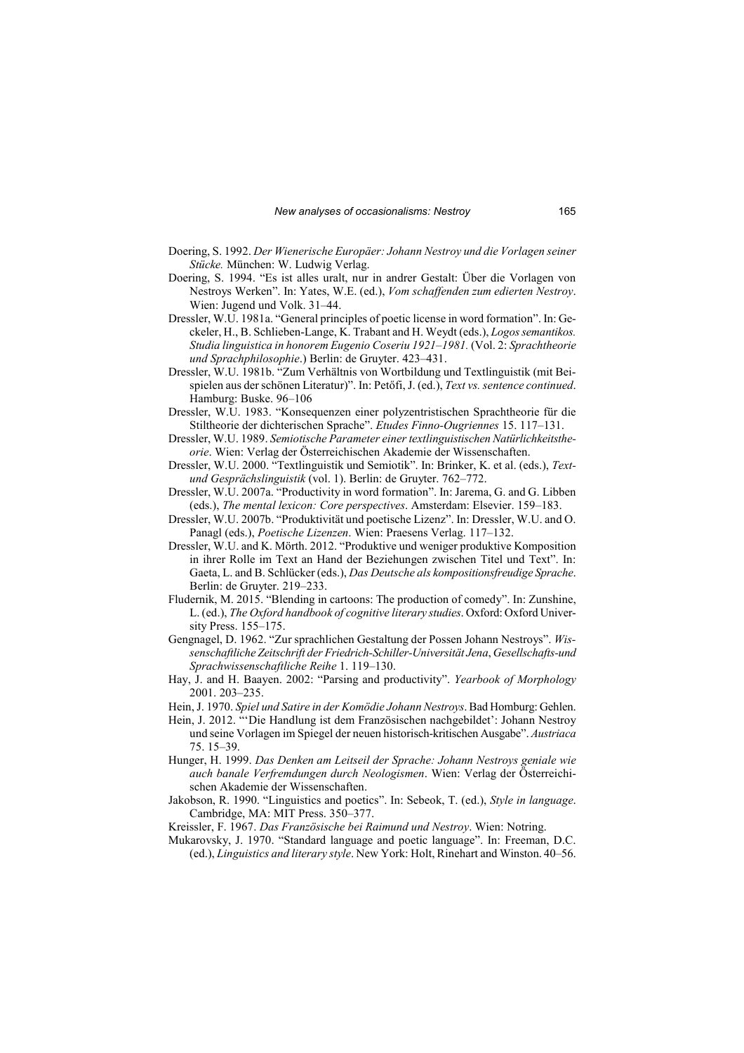- Doering, S. 1992. *Der Wienerische Europäer: Johann Nestroy und die Vorlagen seiner Stücke.* München: W. Ludwig Verlag.
- Doering, S. 1994. "Es ist alles uralt, nur in andrer Gestalt: Über die Vorlagen von Nestroys Werken". In: Yates, W.E. (ed.), *Vom schaffenden zum edierten Nestroy*. Wien: Jugend und Volk. 31–44.
- Dressler, W.U. 1981a. "General principles of poetic license in word formation". In: Geckeler, H., B. Schlieben-Lange, K. Trabant and H. Weydt (eds.), *Logos semantikos. Studia linguistica in honorem Eugenio Coseriu 1921–1981.* (Vol. 2: *Sprachtheorie und Sprachphilosophie*.) Berlin: de Gruyter. 423–431.
- Dressler, W.U. 1981b. "Zum Verhältnis von Wortbildung und Textlinguistik (mit Beispielen aus der schönen Literatur)". In: Petőfi, J. (ed.), *Text vs. sentence continued*. Hamburg: Buske. 96–106
- Dressler, W.U. 1983. "Konsequenzen einer polyzentristischen Sprachtheorie für die Stiltheorie der dichterischen Sprache". *Etudes Finno-Ougriennes* 15. 117–131.
- Dressler, W.U. 1989. *Semiotische Parameter einer textlinguistischen Natürlichkeitstheorie*. Wien: Verlag der Österreichischen Akademie der Wissenschaften.
- Dressler, W.U. 2000. "Textlinguistik und Semiotik". In: Brinker, K. et al. (eds.), *Textund Gesprächslinguistik* (vol. 1). Berlin: de Gruyter. 762–772.
- Dressler, W.U. 2007a. "Productivity in word formation". In: Jarema, G. and G. Libben (eds.), *The mental lexicon: Core perspectives*. Amsterdam: Elsevier. 159–183.
- Dressler, W.U. 2007b. "Produktivität und poetische Lizenz". In: Dressler, W.U. and O. Panagl (eds.), *Poetische Lizenzen*. Wien: Praesens Verlag. 117–132.
- Dressler, W.U. and K. Mörth. 2012. "Produktive und weniger produktive Komposition in ihrer Rolle im Text an Hand der Beziehungen zwischen Titel und Text". In: Gaeta, L. and B. Schlücker (eds.), *Das Deutsche als kompositionsfreudige Sprache*. Berlin: de Gruyter. 219–233.
- Fludernik, M. 2015. "Blending in cartoons: The production of comedy". In: Zunshine, L. (ed.), *The Oxford handbook of cognitive literary studies*. Oxford: Oxford University Press. 155–175.
- Gengnagel, D. 1962. "Zur sprachlichen Gestaltung der Possen Johann Nestroys". *Wissenschaftliche Zeitschrift der Friedrich-Schiller-Universität Jena*, *Gesellschafts-und Sprachwissenschaftliche Reihe* 1. 119–130.
- Hay, J. and H. Baayen. 2002: "Parsing and productivity". *Yearbook of Morphology* 2001. 203–235.
- Hein, J. 1970. *Spiel und Satire in der Komödie Johann Nestroys*. Bad Homburg: Gehlen.
- Hein, J. 2012. "'Die Handlung ist dem Französischen nachgebildet': Johann Nestroy und seine Vorlagen im Spiegel der neuen historisch-kritischen Ausgabe". *Austriaca* 75. 15–39.
- Hunger, H. 1999. *Das Denken am Leitseil der Sprache: Johann Nestroys geniale wie auch banale Verfremdungen durch Neologismen*. Wien: Verlag der Österreichischen Akademie der Wissenschaften.
- Jakobson, R. 1990. "Linguistics and poetics". In: Sebeok, T. (ed.), *Style in language*. Cambridge, MA: MIT Press. 350–377.
- Kreissler, F. 1967. *Das Französische bei Raimund und Nestroy*. Wien: Notring.
- Mukarovsky, J. 1970. "Standard language and poetic language". In: Freeman, D.C. (ed.), *Linguistics and literary style*. New York: Holt, Rinehart and Winston. 40–56.